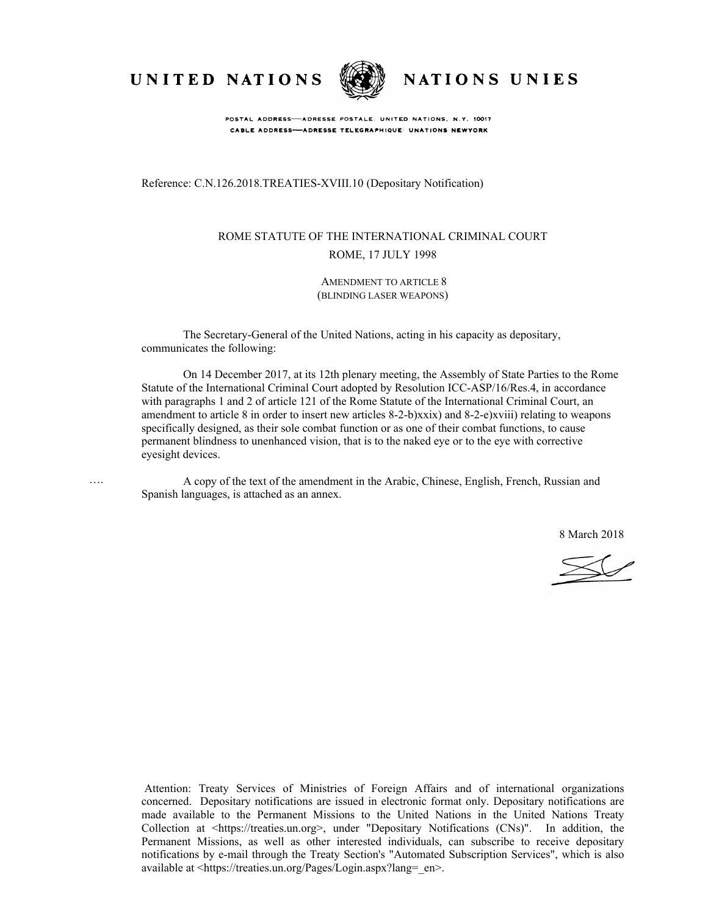

….



NATIONS UNIES

POSTAL ADDRESS-ADRESSE POSTALE: UNITED NATIONS, N.Y. 10017 CABLE ADDRESS-ADRESSE TELEGRAPHIQUE UNATIONS NEWYORK

Reference: C.N.126.2018.TREATIES-XVIII.10 (Depositary Notification)

#### ROME STATUTE OF THE INTERNATIONAL CRIMINAL COURT ROME, 17 JULY 1998

AMENDMENT TO ARTICLE 8 (BLINDING LASER WEAPONS)

The Secretary-General of the United Nations, acting in his capacity as depositary, communicates the following:

On 14 December 2017, at its 12th plenary meeting, the Assembly of State Parties to the Rome Statute of the International Criminal Court adopted by Resolution ICC-ASP/16/Res.4, in accordance with paragraphs 1 and 2 of article 121 of the Rome Statute of the International Criminal Court, an amendment to article 8 in order to insert new articles 8-2-b)xxix) and 8-2-e)xviii) relating to weapons specifically designed, as their sole combat function or as one of their combat functions, to cause permanent blindness to unenhanced vision, that is to the naked eye or to the eye with corrective eyesight devices.

A copy of the text of the amendment in the Arabic, Chinese, English, French, Russian and Spanish languages, is attached as an annex.

8 March 2018

 $\sim$ 

Attention: Treaty Services of Ministries of Foreign Affairs and of international organizations concerned. Depositary notifications are issued in electronic format only. Depositary notifications are made available to the Permanent Missions to the United Nations in the United Nations Treaty Collection at <https://treaties.un.org>, under "Depositary Notifications (CNs)". In addition, the Permanent Missions, as well as other interested individuals, can subscribe to receive depositary notifications by e-mail through the Treaty Section's "Automated Subscription Services", which is also available at <https://treaties.un.org/Pages/Login.aspx?lang=\_en>.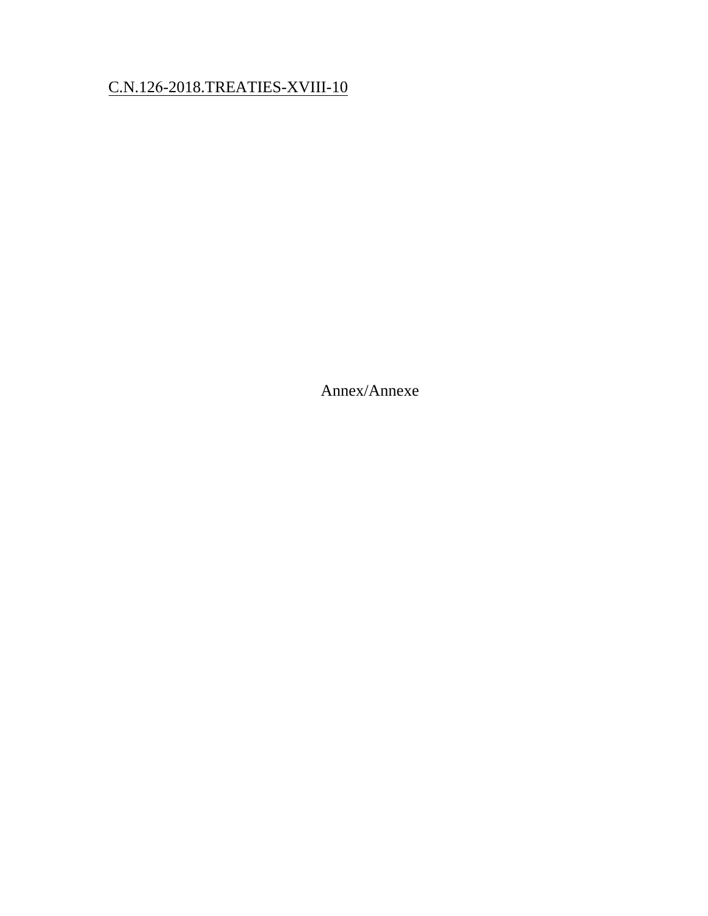# C.N.126-2018.TREATIES-XVIII-10

Annex/Annexe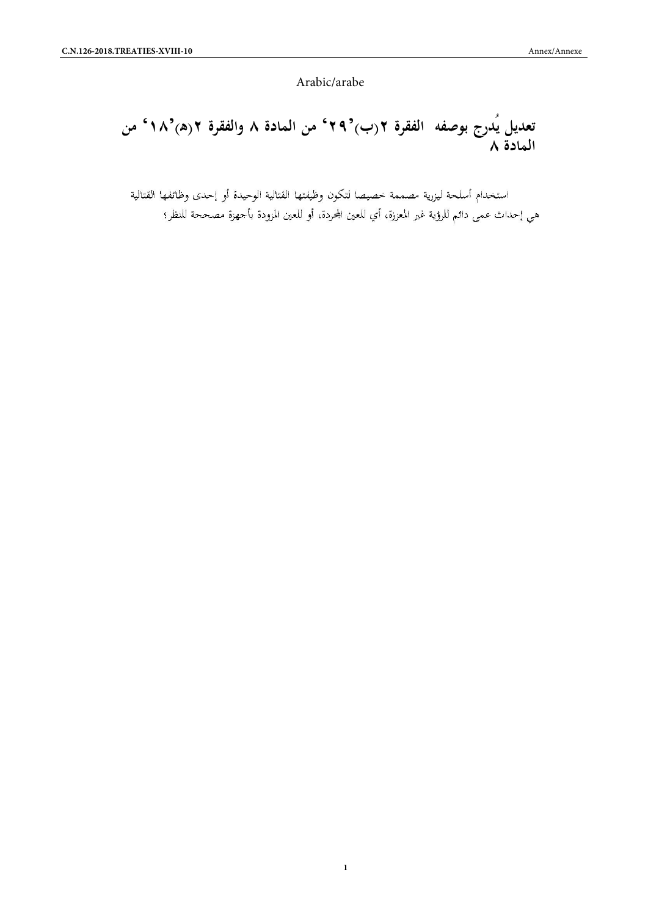Arabic/arabe

# Arabic/arabe<br>**تعديل يُدرج بوصفه الفقرة ٢(ب)<sup>2</sup>٢٩° من المادة ٨ والفقرة ٢(ه)<sup>2</sup>٨° من<br>المادة ٨<br>المادة ٨ المادة ٨**

هي إحداث عمي دائم للرؤية غير المعززة، أي للعين المحردة، أو للعين المزودة بأجهزة مصححة للنظر؛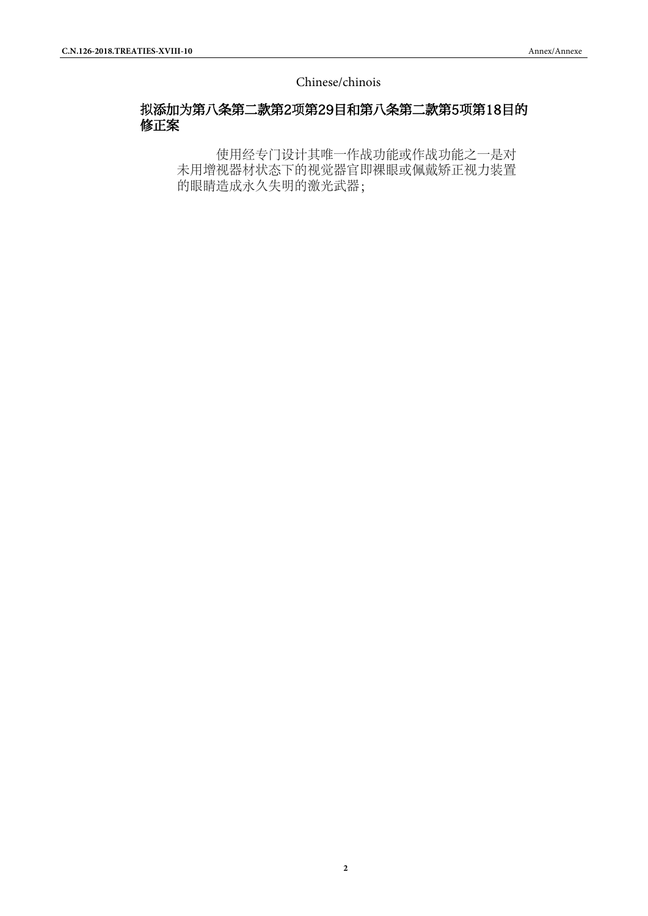Chinese/chinois

# 拟添加为第八条第二款第2项第29目和第八条第二款第5项第18目的 修正案

使用经专门设计其唯一作战功能或作战功能之一是对 未用增视器材状态下的视觉器官即裸眼或佩戴矫正视力装置 的眼睛造成永久失明的激光武器;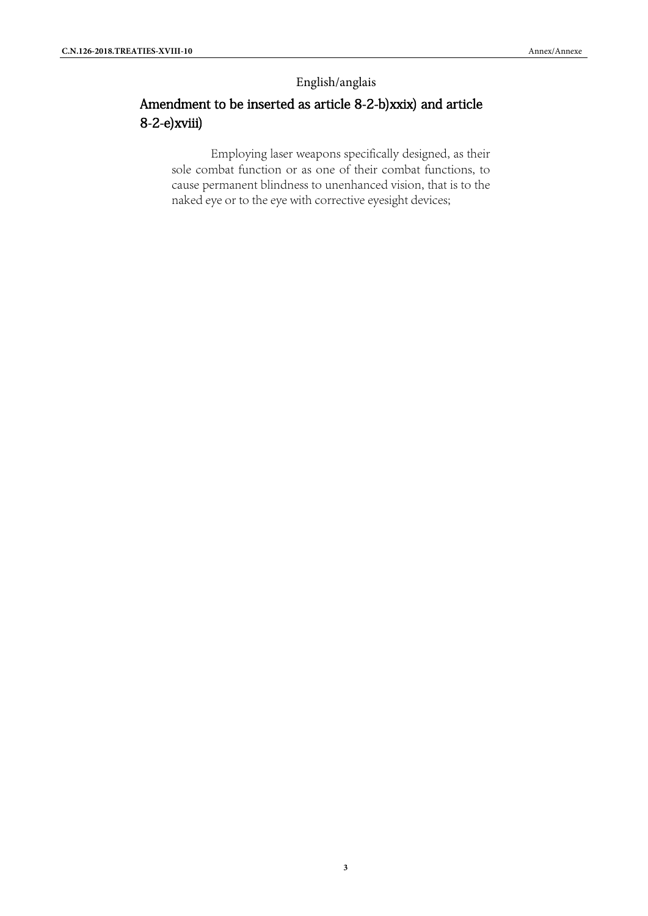## English/anglais

# Amendment to be inserted as article 8-2-b)xxix) and article 8-2-e)xviii)

Employing laser weapons specifically designed, as their sole combat function or as one of their combat functions, to cause permanent blindness to unenhanced vision, that is to the naked eye or to the eye with corrective eyesight devices;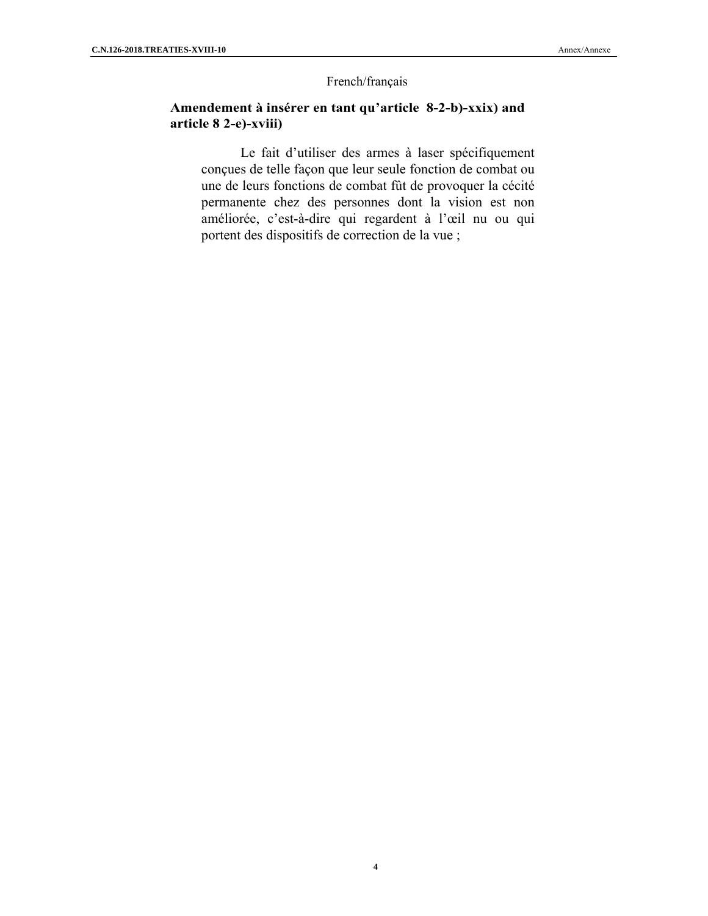#### French/français

#### **Amendement à insérer en tant qu'article 8-2-b)-xxix) and article 8 2-e)-xviii)**

Le fait d'utiliser des armes à laser spécifiquement conçues de telle façon que leur seule fonction de combat ou une de leurs fonctions de combat fût de provoquer la cécité permanente chez des personnes dont la vision est non améliorée, c'est-à-dire qui regardent à l'œil nu ou qui portent des dispositifs de correction de la vue ;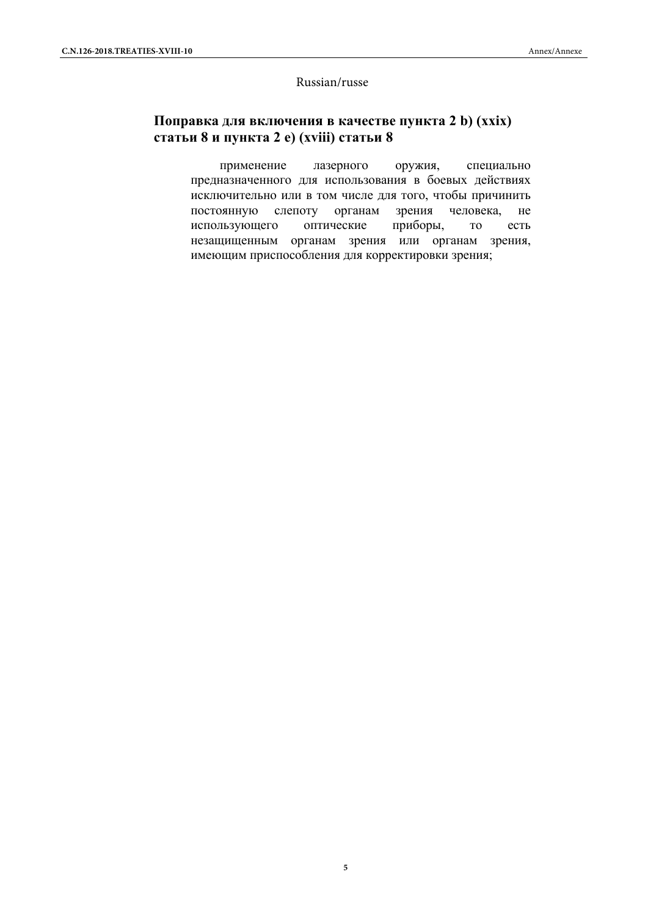#### Russian/russe

# **Поправка для включения в качестве пункта 2 b) (xxix) статьи 8 и пункта 2 e) (xviii) статьи 8**

применение лазерного оружия, специально предназначенного для использования в боевых действиях исключительно или в том числе для того, чтобы причинить постоянную слепоту органам зрения человека, не использующего оптические приборы, то есть незащищенным органам зрения или органам зрения, имеющим приспособления для корректировки зрения;